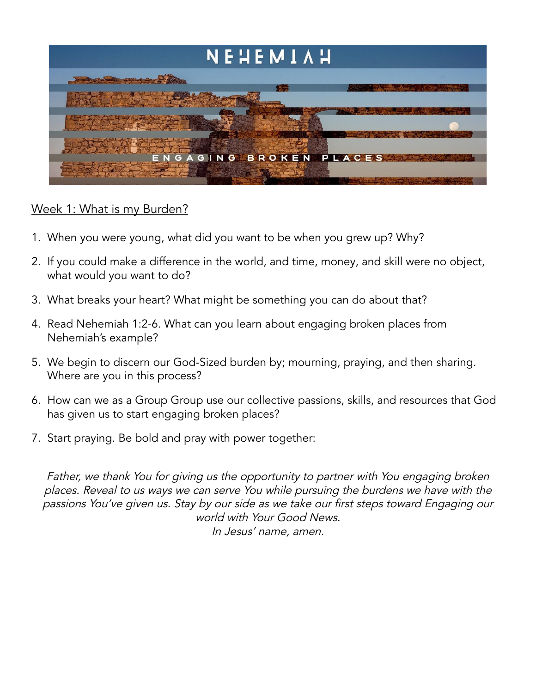

## Week 1: What is my Burden?

- 1. When you were young, what did you want to be when you grew up? Why?
- 2. If you could make a difference in the world, and time, money, and skill were no object, what would you want to do?
- 3. What breaks your heart? What might be something you can do about that?
- 4. Read Nehemiah 1:2-6. What can you learn about engaging broken places from Nehemiah's example?
- 5. We begin to discern our God-Sized burden by; mourning, praying, and then sharing. Where are you in this process?
- 6. How can we as a Group Group use our collective passions, skills, and resources that God has given us to start engaging broken places?
- 7. Start praying. Be bold and pray with power together:

Father, we thank You for <sup>g</sup>iving us the opportunity to partner with You engaging broken places. Reveal to us ways we can serve You while pursuing the burdens we have with the passions You've <sup>g</sup>iven us. Stay by our side as we take our first steps toward Engaging our world with Your Good News. In Jesus' name, amen.